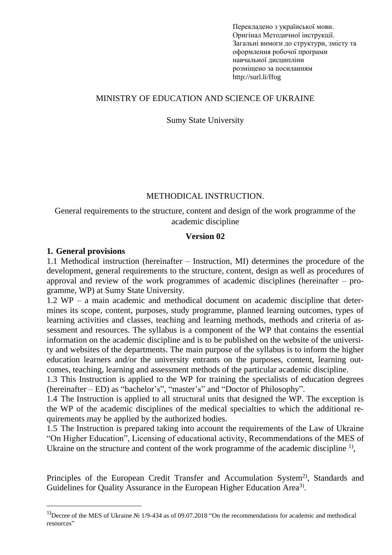Перекладено з української мови. Оригінал Методичної інструкції. Загальні вимоги до структури, змісту та оформлення робочої програми навчальної дисципліни розміщено за посиланням http://surl.li/ffog

#### MINISTRY OF EDUCATION AND SCIENCE OF UKRAINE

#### Sumy State University

#### METHODICAL INSTRUCTION.

#### General requirements to the structure, content and design of the work programme of the academic discipline

#### **Version 02**

#### **1. General provisions**

1.1 Methodical instruction (hereinafter – Instruction, MI) determines the procedure of the development, general requirements to the structure, content, design as well as procedures of approval and review of the work programmes of academic disciplines (hereinafter – programme, WP) at Sumy State University.

1.2 WP – a main academic and methodical document on academic discipline that determines its scope, content, purposes, study programme, planned learning outcomes, types of learning activities and classes, teaching and learning methods, methods and criteria of assessment and resources. The syllabus is a component of the WP that contains the essential information on the academic discipline and is to be published on the website of the university and websites of the departments. The main purpose of the syllabus is to inform the higher education learners and/or the university entrants on the purposes, content, learning outcomes, teaching, learning and assessment methods of the particular academic discipline.

1.3 This Instruction is applied to the WP for training the specialists of education degrees (hereinafter – ED) as "bachelor's", "master's" and "Doctor of Philosophy".

1.4 The Instruction is applied to all structural units that designed the WP. The exception is the WP of the academic disciplines of the medical specialties to which the additional requirements may be applied by the authorized bodies.

1.5 The Instruction is prepared taking into account the requirements of the Law of Ukraine "On Higher Education", Licensing of educational activity, Recommendations of the MES of Ukraine on the structure and content of the work programme of the academic discipline  $<sup>1</sup>$ ,</sup>

Principles of the European Credit Transfer and Accumulation System<sup>2)</sup>, Standards and Guidelines for Quality Assurance in the European Higher Education Area<sup>3)</sup>.

<sup>&</sup>lt;sup>1)</sup>Decree of the MES of Ukraine № 1/9-434 as of 09.07.2018 "On the recommendations for academic and methodical resources"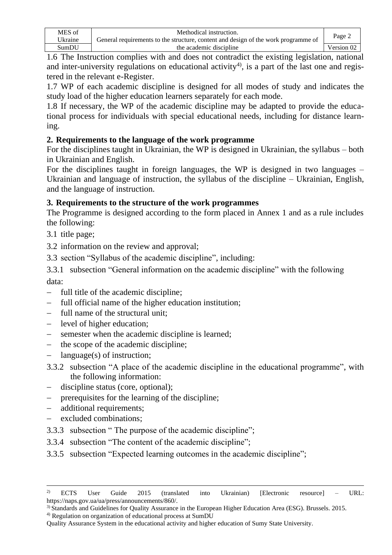| MES of  | Methodical instruction.                                                            | Page 2     |
|---------|------------------------------------------------------------------------------------|------------|
| Ukraine | General requirements to the structure, content and design of the work programme of |            |
| SumDU   | the academic discipline                                                            | Version 02 |

1.6 The Instruction complies with and does not contradict the existing legislation, national and inter-university regulations on educational activity<sup>4)</sup>, is a part of the last one and registered in the relevant e-Register.

1.7 WP of each academic discipline is designed for all modes of study and indicates the study load of the higher education learners separately for each mode.

1.8 If necessary, the WP of the academic discipline may be adapted to provide the educational process for individuals with special educational needs, including for distance learning.

# **2. Requirements to the language of the work programme**

For the disciplines taught in Ukrainian, the WP is designed in Ukrainian, the syllabus – both in Ukrainian and English.

For the disciplines taught in foreign languages, the WP is designed in two languages – Ukrainian and language of instruction, the syllabus of the discipline – Ukrainian, English, and the language of instruction.

# **3. Requirements to the structure of the work programmes**

The Programme is designed according to the form placed in Annex 1 and as a rule includes the following:

- 3.1 title page;
- 3.2 information on the review and approval;

3.3 section "Syllabus of the academic discipline", including:

3.3.1 subsection "General information on the academic discipline" with the following data:

- − full title of the academic discipline;
- full official name of the higher education institution;
- − full name of the structural unit;
- − level of higher education;
- semester when the academic discipline is learned;
- − the scope of the academic discipline;
- $language(s)$  of instruction;
- 3.3.2 subsection "A place of the academic discipline in the educational programme", with the following information:
- discipline status (core, optional);
- − prerequisites for the learning of the discipline;
- additional requirements;
- − excluded combinations;
- 3.3.3 subsection " The purpose of the academic discipline";
- 3.3.4 subsection "The content of the academic discipline";
- 3.3.5 subsection "Expected learning outcomes in the academic discipline";

<sup>&</sup>lt;sup>2)</sup> ECTS User Guide 2015 (translated into Ukrainian) [Electronic resource] – URL: https://naps.gov.ua/ua/press/announcements/860/.

<sup>3)</sup> Standards and Guidelines for Quality Assurance in the European Higher Education Area (ESG). Brussels. 2015.

<sup>4)</sup> Regulation on organization of educational process at SumDU

Quality Assurance System in the educational activity and higher education of Sumy State University.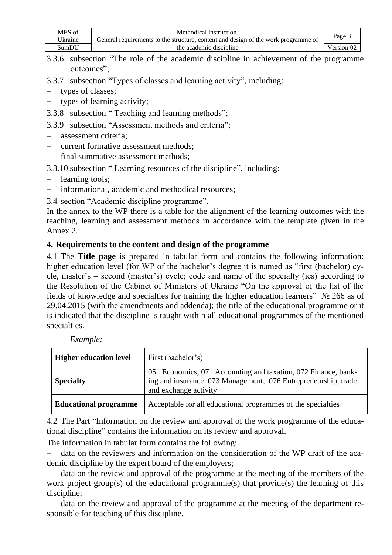| MES of  | Methodical instruction.                                                            |                   |
|---------|------------------------------------------------------------------------------------|-------------------|
| Ukraine | General requirements to the structure, content and design of the work programme of | Page 3            |
| SumDU   | the academic discipline                                                            | Version $0\angle$ |

- 3.3.6 subsection "The role of the academic discipline in achievement of the programme outcomes";
- 3.3.7 subsection "Types of classes and learning activity", including:
- − types of classes;
- types of learning activity;
- 3.3.8 subsection " Teaching and learning methods";
- 3.3.9 subsection "Assessment methods and criteria";
- − assessment criteria;
- − current formative assessment methods;
- − final summative assessment methods;
- 3.3.10 subsection " Learning resources of the discipline", including:
- − learning tools;
- − informational, academic and methodical resources;
- 3.4 section "Academic discipline programme".

In the annex to the WP there is a table for the alignment of the learning outcomes with the teaching, learning and assessment methods in accordance with the template given in the Annex 2.

# **4. Requirements to the content and design of the programme**

4.1 The **Title page** is prepared in tabular form and contains the following information: higher education level (for WP of the bachelor's degree it is named as "first (bachelor) cycle, master's – second (master's) cycle; code and name of the specialty (ies) according to the Resolution of the Cabinet of Ministers of Ukraine "On the approval of the list of the fields of knowledge and specialties for training the higher education learners" № 266 as of 29.04.2015 (with the amendments and addenda); the title of the educational programme or it is indicated that the discipline is taught within all educational programmes of the mentioned specialties.

| <b>Higher education level</b> | First (bachelor's)                                                                                                                                        |
|-------------------------------|-----------------------------------------------------------------------------------------------------------------------------------------------------------|
| <b>Specialty</b>              | 051 Economics, 071 Accounting and taxation, 072 Finance, bank-<br>ing and insurance, 073 Management, 076 Entrepreneurship, trade<br>and exchange activity |
| <b>Educational programme</b>  | Acceptable for all educational programmes of the specialties                                                                                              |

*Example:*

4.2 The Part "Information on the review and approval of the work programme of the educational discipline" contains the information on its review and approval.

The information in tabular form contains the following:

− data on the reviewers and information on the consideration of the WP draft of the academic discipline by the expert board of the employers;

data on the review and approval of the programme at the meeting of the members of the work project group(s) of the educational programme(s) that provide(s) the learning of this discipline;

data on the review and approval of the programme at the meeting of the department responsible for teaching of this discipline.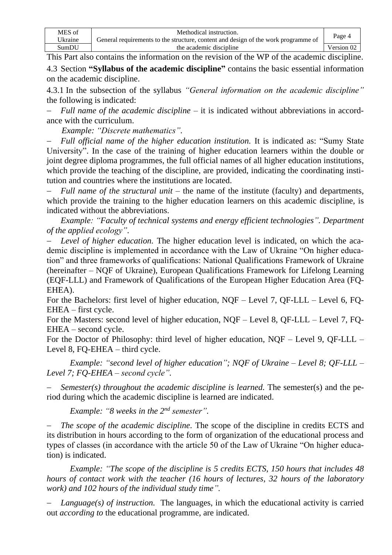| MES of  | Methodical instruction.                                                            | Page 4     |
|---------|------------------------------------------------------------------------------------|------------|
| Ukraine | General requirements to the structure, content and design of the work programme of |            |
| SumDU   | the academic discipline                                                            | Version 02 |

This Part also contains the information on the revision of the WP of the academic discipline. 4.3 Section **"Syllabus of the academic discipline"** contains the basic essential information on the academic discipline.

4.3.1 In the subsection of the syllabus *"General information on the academic discipline"* the following is indicated:

*Full name of the academic discipline* – it is indicated without abbreviations in accordance with the curriculum.

 *Example: "Discrete mathematics".*

− *Full official name of the higher education institution.* It is indicated as: "Sumy State University". In the case of the training of higher education learners within the double or joint degree diploma programmes, the full official names of all higher education institutions, which provide the teaching of the discipline, are provided, indicating the coordinating institution and countries where the institutions are located.

− *Full name of the structural unit –* the name of the institute (faculty) and departments, which provide the training to the higher education learners on this academic discipline, is indicated without the abbreviations.

*Example: "Faculty of technical systems and energy efficient technologies". Department of the applied ecology".*

*Level of higher education.* The higher education level is indicated, on which the academic discipline is implemented in accordance with the Law of Ukraine "On higher education" and three frameworks of qualifications: National Qualifications Framework of Ukraine (hereinafter – NQF of Ukraine), European Qualifications Framework for Lifelong Learning (EQF-LLL) and Framework of Qualifications of the European Higher Education Area (FQ-EHEA).

For the Bachelors: first level of higher education, NQF – Level 7, QF-LLL – Level 6, FQ-EHEA – first cycle.

For the Masters: second level of higher education, NQF – Level 8, QF-LLL – Level 7, FQ-EHEA – second cycle.

For the Doctor of Philosophy: third level of higher education, NQF – Level 9, QF-LLL – Level 8, FQ-EHEA – third cycle.

*Example: "second level of higher education"; NQF of Ukraine – Level 8; QF-LLL – Level 7; FQ-EHEA – second cycle".*

*Semester(s) throughout the academic discipline is learned.* The semester(s) and the period during which the academic discipline is learned are indicated.

*Example: "8 weeks in the 2nd semester".*

*The scope of the academic discipline.* The scope of the discipline in credits ECTS and its distribution in hours according to the form of organization of the educational process and types of classes (in accordance with the article 50 of the Law of Ukraine "On higher education) is indicated.

*Example: "The scope of the discipline is 5 credits ECTS, 150 hours that includes 48 hours of contact work with the teacher (16 hours of lectures, 32 hours of the laboratory work) and 102 hours of the individual study time".*

*Language(s) of instruction.* The languages, in which the educational activity is carried out *according to* the educational programme, are indicated.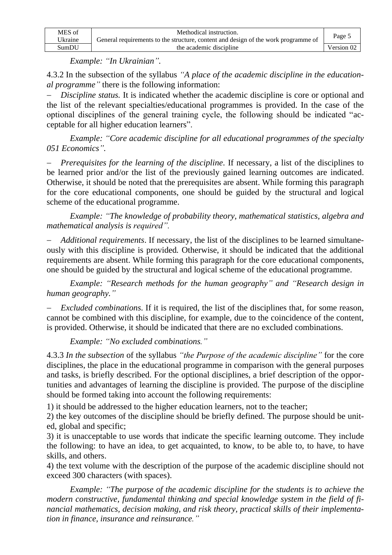| MES of  | Methodical instruction.                                                            | Page 5     |
|---------|------------------------------------------------------------------------------------|------------|
| Ukraine | General requirements to the structure, content and design of the work programme of |            |
| SumDU   | the academic discipline                                                            | Version 02 |

*Example: "In Ukrainian".*

4.3.2 In the subsection of the syllabus *"A place of the academic discipline in the educational programme"* there is the following information:

*Discipline status*. It is indicated whether the academic discipline is core or optional and the list of the relevant specialties/educational programmes is provided. In the case of the optional disciplines of the general training cycle, the following should be indicated "acceptable for all higher education learners".

*Example: "Core academic discipline for all educational programmes of the specialty 051 Economics".*

*Prerequisites for the learning of the discipline.* If necessary, a list of the disciplines to be learned prior and/or the list of the previously gained learning outcomes are indicated. Otherwise, it should be noted that the prerequisites are absent. While forming this paragraph for the core educational components, one should be guided by the structural and logical scheme of the educational programme.

*Example: "The knowledge of probability theory, mathematical statistics, algebra and mathematical analysis is required".*

− *Additional requirements*. If necessary, the list of the disciplines to be learned simultaneously with this discipline is provided*.* Otherwise, it should be indicated that the additional requirements are absent. While forming this paragraph for the core educational components, one should be guided by the structural and logical scheme of the educational programme.

*Example: "Research methods for the human geography" and "Research design in human geography."*

*Excluded combinations.* If it is required, the list of the disciplines that, for some reason, cannot be combined with this discipline, for example, due to the coincidence of the content, is provided. Otherwise, it should be indicated that there are no excluded combinations.

*Example: "No excluded combinations."*

4.3.3 *In the subsection* of the syllabus *"the Purpose of the academic discipline"* for the core disciplines, the place in the educational programme in comparison with the general purposes and tasks, is briefly described. For the optional disciplines, a brief description of the opportunities and advantages of learning the discipline is provided. The purpose of the discipline should be formed taking into account the following requirements:

1) it should be addressed to the higher education learners, not to the teacher;

2) the key outcomes of the discipline should be briefly defined. The purpose should be united, global and specific;

3) it is unacceptable to use words that indicate the specific learning outcome. They include the following: to have an idea, to get acquainted, to know, to be able to, to have, to have skills, and others.

4) the text volume with the description of the purpose of the academic discipline should not exceed 300 characters (with spaces).

*Example: "The purpose of the academic discipline for the students is to achieve the modern constructive, fundamental thinking and special knowledge system in the field of financial mathematics, decision making, and risk theory, practical skills of their implementation in finance, insurance and reinsurance."*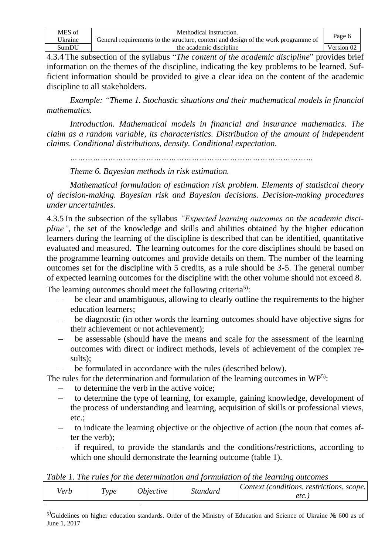| MES of  | Methodical instruction.                                                            | Page 6     |
|---------|------------------------------------------------------------------------------------|------------|
| Ukraine | General requirements to the structure, content and design of the work programme of |            |
| SumDU   | the academic discipline                                                            | Version 02 |

4.3.4 The subsection of the syllabus "*The content of the academic discipline*" provides brief information on the themes of the discipline, indicating the key problems to be learned. Sufficient information should be provided to give a clear idea on the content of the academic discipline to all stakeholders.

*Example: "Theme 1. Stochastic situations and their mathematical models in financial mathematics.*

*Introduction. Mathematical models in financial and insurance mathematics. The claim as a random variable, its characteristics. Distribution of the amount of independent claims. Conditional distributions, density. Conditional expectation.* 

*……………………………………………………………………………………*

*Theme 6. Bayesian methods in risk estimation.*

*Mathematical formulation of estimation risk problem. Elements of statistical theory of decision-making. Bayesian risk and Bayesian decisions. Decision-making procedures under uncertainties.*

4.3.5 In the subsection of the syllabus *"Expected learning outcomes on the academic discipline*", the set of the knowledge and skills and abilities obtained by the higher education learners during the learning of the discipline is described that can be identified, quantitative evaluated and measured. The learning outcomes for the core disciplines should be based on the programme learning outcomes and provide details on them. The number of the learning outcomes set for the discipline with 5 credits, as a rule should be 3-5. The general number of expected learning outcomes for the discipline with the other volume should not exceed 8.

The learning outcomes should meet the following criteria<sup>5)</sup>:

- be clear and unambiguous, allowing to clearly outline the requirements to the higher education learners;
- be diagnostic (in other words the learning outcomes should have objective signs for their achievement or not achievement);
- be assessable (should have the means and scale for the assessment of the learning outcomes with direct or indirect methods, levels of achievement of the complex results);
- be formulated in accordance with the rules (described below).

The rules for the determination and formulation of the learning outcomes in WP<sup>5)</sup>:

- to determine the verb in the active voice;
- to determine the type of learning, for example, gaining knowledge, development of the process of understanding and learning, acquisition of skills or professional views, etc.;
- to indicate the learning objective or the objective of action (the noun that comes after the verb);
- if required, to provide the standards and the conditions/restrictions, according to which one should demonstrate the learning outcome (table 1).

*Table 1. The rules for the determination and formulation of the learning outcomes* 

| etc. | /erb | ype | <i><b>Objective</b></i> | standard | $ Context$ (conditions, restrictions, scope, |
|------|------|-----|-------------------------|----------|----------------------------------------------|
|      |      |     |                         |          |                                              |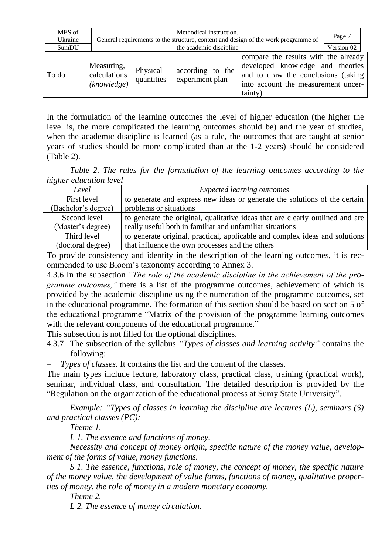| MES of<br>Ukraine |                                           | Methodical instruction.<br>General requirements to the structure, content and design of the work programme of |                                     | Page 7                                                                                                                                                            |  |
|-------------------|-------------------------------------------|---------------------------------------------------------------------------------------------------------------|-------------------------------------|-------------------------------------------------------------------------------------------------------------------------------------------------------------------|--|
| SumDU             |                                           | the academic discipline                                                                                       |                                     | Version 02                                                                                                                                                        |  |
| To do             | Measuring,<br>calculations<br>(knowledge) | Physical<br>quantities                                                                                        | according to the<br>experiment plan | compare the results with the already<br>developed knowledge and theories<br>and to draw the conclusions (taking<br>into account the measurement uncer-<br>tainty) |  |

In the formulation of the learning outcomes the level of higher education (the higher the level is, the more complicated the learning outcomes should be) and the year of studies, when the academic discipline is learned (as a rule, the outcomes that are taught at senior years of studies should be more complicated than at the 1-2 years) should be considered (Table 2).

*Table 2. The rules for the formulation of the learning outcomes according to the higher education level*

| Level               | <b>Expected learning outcomes</b>                                             |
|---------------------|-------------------------------------------------------------------------------|
| First level         | to generate and express new ideas or generate the solutions of the certain    |
| (Bachelor's degree) | problems or situations                                                        |
| Second level        | to generate the original, qualitative ideas that are clearly outlined and are |
| (Master's degree)   | really useful both in familiar and unfamiliar situations                      |
| Third level         | to generate original, practical, applicable and complex ideas and solutions   |
| (doctoral degree)   | that influence the own processes and the others                               |

To provide consistency and identity in the description of the learning outcomes, it is recommended to use Bloom's taxonomy according to Annex 3.

4.3.6 In the subsection *"The role of the academic discipline in the achievement of the programme outcomes,"* there is a list of the programme outcomes, achievement of which is provided by the academic discipline using the numeration of the programme outcomes, set in the educational programme. The formation of this section should be based on section 5 of the educational programme "Matrix of the provision of the programme learning outcomes with the relevant components of the educational programme."

This subsection is not filled for the optional disciplines.

- 4.3.7 The subsection of the syllabus *"Types of classes and learning activity"* contains the following:
- *Types of classes.* It contains the list and the content of the classes.

The main types include lecture, laboratory class, practical class, training (practical work), seminar, individual class, and consultation. The detailed description is provided by the "Regulation on the organization of the educational process at Sumy State University".

*Example: "Types of classes in learning the discipline are lectures (L), seminars (S) and practical classes (PC):* 

*Theme 1.* 

*L 1. The essence and functions of money.*

*Necessity and concept of money origin, specific nature of the money value, development of the forms of value, money functions.*

*S 1. The essence, functions, role of money, the concept of money, the specific nature of the money value, the development of value forms, functions of money, qualitative properties of money, the role of money in a modern monetary economy.*

*Theme 2.*

*L 2. The essence of money circulation.*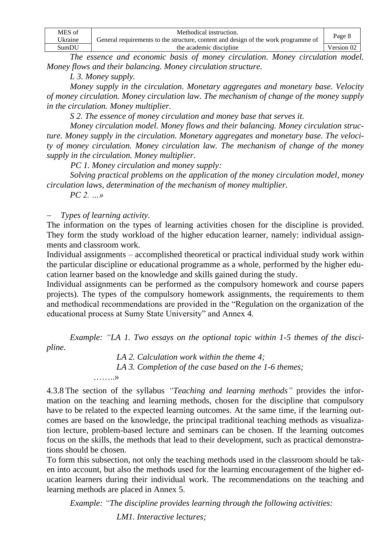| MES of  | Methodical instruction.                                                            |            |
|---------|------------------------------------------------------------------------------------|------------|
| Ukraine | General requirements to the structure, content and design of the work programme of | Page 8     |
| SumDU   | the academic discipline                                                            | Version 02 |

*The essence and economic basis of money circulation. Money circulation model. Money flows and their balancing. Money circulation structure.*

*L 3. Money supply.*

*Money supply in the circulation. Monetary aggregates and monetary base. Velocity of money circulation. Money circulation law. The mechanism of change of the money supply in the circulation. Money multiplier.*

*S 2. The essence of money circulation and money base that serves it.* 

*Money circulation model. Money flows and their balancing. Money circulation structure. Money supply in the circulation. Monetary aggregates and monetary base. The velocity of money circulation. Money circulation law. The mechanism of change of the money supply in the circulation. Money multiplier.*

*PC 1. Money circulation and money supply:*

*Solving practical problems on the application of the money circulation model, money circulation laws, determination of the mechanism of money multiplier.*

*PC 2. …»*

− *Types of learning activity.*

The information on the types of learning activities chosen for the discipline is provided. They form the study workload of the higher education learner, namely: individual assignments and classroom work.

Individual assignments – accomplished theoretical or practical individual study work within the particular discipline or educational programme as a whole, performed by the higher education learner based on the knowledge and skills gained during the study.

Individual assignments can be performed as the compulsory homework and course papers projects). The types of the compulsory homework assignments, the requirements to them and methodical recommendations are provided in the "Regulation on the organization of the educational process at Sumy State University" and Annex 4.

*Example: "LA 1. Two essays on the optional topic within 1-5 themes of the discipline.*

> *LA 2. Calculation work within the theme 4; LA 3. Completion of the case based on the 1-6 themes;* ……..»

4.3.8 The section of the syllabus *"Teaching and learning methods"* provides the information on the teaching and learning methods, chosen for the discipline that compulsory have to be related to the expected learning outcomes. At the same time, if the learning outcomes are based on the knowledge, the principal traditional teaching methods as visualization lecture, problem-based lecture and seminars can be chosen. If the learning outcomes focus on the skills, the methods that lead to their development, such as practical demonstrations should be chosen.

To form this subsection, not only the teaching methods used in the classroom should be taken into account, but also the methods used for the learning encouragement of the higher education learners during their individual work. The recommendations on the teaching and learning methods are placed in Annex 5.

*Example: "The discipline provides learning through the following activities:*

*LM1. Interactive lectures;*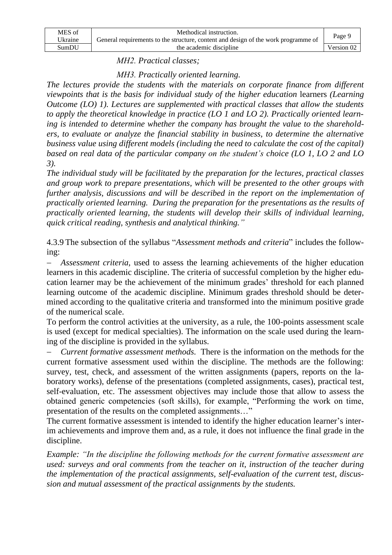| MES of  | Methodical instruction.                                                            |            |
|---------|------------------------------------------------------------------------------------|------------|
| Ukraine | General requirements to the structure, content and design of the work programme of | Page 9     |
| SumDU   | the academic discipline                                                            | Version 02 |

*МН2. Practical classes;*

*МН3. Practically oriented learning.* 

*The lectures provide the students with the materials on corporate finance from different viewpoints that is the basis for individual study of the higher education* learners *(Learning Outcome (LO) 1). Lectures are supplemented with practical classes that allow the students to apply the theoretical knowledge in practice (LO 1 and LO 2). Practically oriented learning is intended to determine whether the company has brought the value to the shareholders, to evaluate or analyze the financial stability in business, to determine the alternative business value using different models (including the need to calculate the cost of the capital) based on real data of the particular company on the student's choice (LO 1, LO 2 and LO 3).*

*The individual study will be facilitated by the preparation for the lectures, practical classes and group work to prepare presentations, which will be presented to the other groups with further analysis, discussions and will be described in the report on the implementation of practically oriented learning. During the preparation for the presentations as the results of practically oriented learning, the students will develop their skills of individual learning, quick critical reading, synthesis and analytical thinking."*

4.3.9 The subsection of the syllabus "*Assessment methods and criteria*" includes the following:

− *Assessment criteria,* used to assess the learning achievements of the higher education learners in this academic discipline. The criteria of successful completion by the higher education learner may be the achievement of the minimum grades' threshold for each planned learning outcome of the academic discipline. Minimum grades threshold should be determined according to the qualitative criteria and transformed into the minimum positive grade of the numerical scale.

To perform the control activities at the university, as a rule, the 100-points assessment scale is used (except for medical specialties). The information on the scale used during the learning of the discipline is provided in the syllabus.

*Current formative assessment methods.* There is the information on the methods for the current formative assessment used within the discipline. The methods are the following: survey, test, check, and assessment of the written assignments (papers, reports on the laboratory works), defense of the presentations (completed assignments, cases), practical test, self-evaluation, etc. The assessment objectives may include those that allow to assess the obtained generic competencies (soft skills), for example, "Performing the work on time, presentation of the results on the completed assignments…"

The current formative assessment is intended to identify the higher education learner's interim achievements and improve them and, as a rule, it does not influence the final grade in the discipline.

*Example: "In the discipline the following methods for the current formative assessment are used: surveys and oral comments from the teacher on it, instruction of the teacher during the implementation of the practical assignments, self-evaluation of the current test, discussion and mutual assessment of the practical assignments by the students.*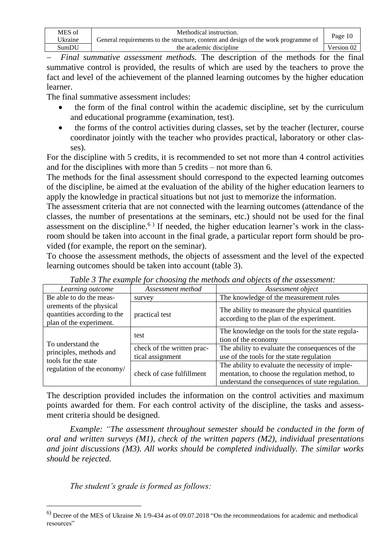| MES of  | Methodical instruction.                                                            |                   |
|---------|------------------------------------------------------------------------------------|-------------------|
| Ukraine | General requirements to the structure, content and design of the work programme of | Page 10           |
| SumDU   | the academic discipline                                                            | Version $0\angle$ |

− *Final summative assessment methods.* The description of the methods for the final summative control is provided, the results of which are used by the teachers to prove the fact and level of the achievement of the planned learning outcomes by the higher education learner.

The final summative assessment includes:

- the form of the final control within the academic discipline, set by the curriculum and educational programme (examination, test).
- the forms of the control activities during classes, set by the teacher (lecturer, course coordinator jointly with the teacher who provides practical, laboratory or other classes).

For the discipline with 5 credits, it is recommended to set not more than 4 control activities and for the disciplines with more than 5 credits – not more than 6.

The methods for the final assessment should correspond to the expected learning outcomes of the discipline, be aimed at the evaluation of the ability of the higher education learners to apply the knowledge in practical situations but not just to memorize the information.

The assessment criteria that are not connected with the learning outcomes (attendance of the classes, the number of presentations at the seminars, etc.) should not be used for the final assessment on the discipline.<sup>6)</sup> If needed, the higher education learner's work in the classroom should be taken into account in the final grade, a particular report form should be provided (for example, the report on the seminar).

To choose the assessment methods, the objects of assessment and the level of the expected learning outcomes should be taken into account (table 3).

| Learning outcome                                                                   | Assessment method                              | Assessment object                                                                                                                                     |
|------------------------------------------------------------------------------------|------------------------------------------------|-------------------------------------------------------------------------------------------------------------------------------------------------------|
| Be able to do the meas-                                                            | survey                                         | The knowledge of the measurement rules                                                                                                                |
| urements of the physical<br>quantities according to the<br>plan of the experiment. | practical test                                 | The ability to measure the physical quantities<br>according to the plan of the experiment.                                                            |
|                                                                                    | test                                           | The knowledge on the tools for the state regula-<br>tion of the economy                                                                               |
| To understand the<br>principles, methods and<br>tools for the state                | check of the written prac-<br>tical assignment | The ability to evaluate the consequences of the<br>use of the tools for the state regulation                                                          |
| regulation of the economy/                                                         | check of case fulfillment                      | The ability to evaluate the necessity of imple-<br>mentation, to choose the regulation method, to<br>understand the consequences of state regulation. |

*Table 3 The example for choosing the methods and objects of the assessment:*

The description provided includes the information on the control activities and maximum points awarded for them. For each control activity of the discipline, the tasks and assessment criteria should be designed.

*Example: "The assessment throughout semester should be conducted in the form of oral and written surveys (M1), check of the written papers (M2), individual presentations and joint discussions (M3). All works should be completed individually. The similar works should be rejected.* 

*The student's grade is formed as follows:*

<sup>6</sup>) Decree of the MES of Ukraine № 1/9-434 as of 09.07.2018 "On the recommendations for academic and methodical resources"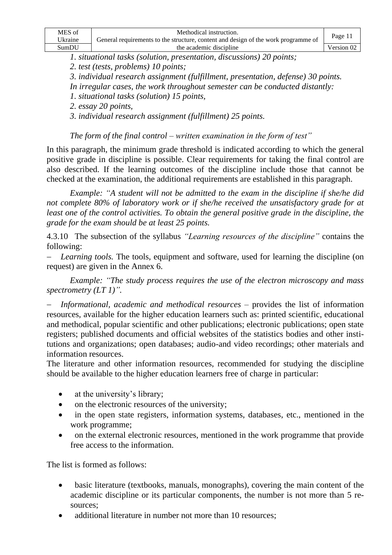| MES of  | Methodical instruction.                                                            | Page 11    |
|---------|------------------------------------------------------------------------------------|------------|
| Ukraine | General requirements to the structure, content and design of the work programme of |            |
| SumDU   | the academic discipline                                                            | Version 02 |

*1. situational tasks (solution, presentation, discussions) 20 points;* 

*2. test (tests, problems) 10 points;*

*3. individual research assignment (fulfillment, presentation, defense) 30 points.*

*In irregular cases, the work throughout semester can be conducted distantly:* 

*1. situational tasks (solution) 15 points,*

*2. essay 20 points,*

*3. individual research assignment (fulfillment) 25 points.*

*The form of the final control – written examination in the form of test"*

In this paragraph, the minimum grade threshold is indicated according to which the general positive grade in discipline is possible. Clear requirements for taking the final control are also described. If the learning outcomes of the discipline include those that cannot be checked at the examination, the additional requirements are established in this paragraph.

*Example: "A student will not be admitted to the exam in the discipline if she/he did not complete 80% of laboratory work or if she/he received the unsatisfactory grade for at least one of the control activities. To obtain the general positive grade in the discipline, the grade for the exam should be at least 25 points.* 

4.3.10 The subsection of the syllabus *"Learning resources of the discipline"* contains the following:

*Learning tools.* The tools, equipment and software, used for learning the discipline (on request) are given in the Annex 6.

*Example: "The study process requires the use of the electron microscopy and mass spectrometry (LT 1)".*

− *Informational, academic and methodical resources –* provides the list of information resources, available for the higher education learners such as: printed scientific, educational and methodical, popular scientific and other publications; electronic publications; open state registers; published documents and official websites of the statistics bodies and other institutions and organizations; open databases; audio-and video recordings; other materials and information resources.

The literature and other information resources, recommended for studying the discipline should be available to the higher education learners free of charge in particular:

- at the university's library;
- on the electronic resources of the university;
- in the open state registers, information systems, databases, etc., mentioned in the work programme;
- on the external electronic resources, mentioned in the work programme that provide free access to the information.

The list is formed as follows:

- basic literature (textbooks, manuals, monographs), covering the main content of the academic discipline or its particular components, the number is not more than 5 resources;
- additional literature in number not more than 10 resources;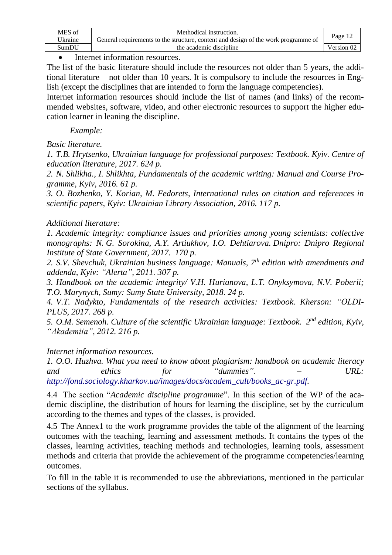| MES of  | Methodical instruction.                                                            | Page 12    |
|---------|------------------------------------------------------------------------------------|------------|
| Jkraine | General requirements to the structure, content and design of the work programme of |            |
| SumDU   | the academic discipline                                                            | Version 02 |

## Internet information resources.

The list of the basic literature should include the resources not older than 5 years, the additional literature – not older than 10 years. It is compulsory to include the resources in English (except the disciplines that are intended to form the language competencies).

Internet information resources should include the list of names (and links) of the recommended websites, software, video, and other electronic resources to support the higher education learner in leaning the discipline.

*Example:* 

*Basic literature.*

*1. T.B. Hrytsenko, Ukrainian language for professional purposes: Textbook. Kyiv. Centre of education literature, 2017. 624 p.*

*2. N. Shlikha., I. Shlikhta, Fundamentals of the academic writing: Manual and Course Programme, Kyiv, 2016. 61 p.*

*3. O. Bozhenko, Y. Korian, M. Fedorets, International rules on citation and references in scientific papers, Kyiv: Ukrainian Library Association, 2016. 117 p.*

# *Additional literature:*

*1. Academic integrity: compliance issues and priorities among young scientists: collective monographs: N. G. Sorokina, A.Y. Artiukhov, I.O. Dehtiarova. Dnipro: Dnipro Regional Institute of State Government, 2017. 170 p.*

*2. S.V. Shevchuk, Ukrainian business language: Manuals, 7 th edition with amendments and addenda, Kyiv: "Alerta", 2011. 307 p.*

*3. Handbook on the academic integrity/ V.H. Hurianova, L.T. Onyksymova, N.V. Poberii; T.O. Marynych, Sumy: Sumy State University, 2018. 24 p.*

*4. V.T. Nadykto, Fundamentals of the research activities: Textbook. Kherson: "OLDI-PLUS, 2017. 268 p.*

*5. O.M. Semenoh. Culture of the scientific Ukrainian language: Textbook. 2 nd edition, Kyiv, "Akademiia", 2012. 216 p.*

*Internet information resources.*

*1. O.O. Huzhva. What you need to know about plagiarism: handbook on academic literacy and ethics for "dummies". – URL: [http://fond.sociology.kharkov.ua/images/docs/academ\\_cult/books\\_ac-gr.pdf.](http://fond.sociology.kharkov.ua/images/docs/academ_cult/books_ac-gr.pdf)*

4.4 The section "*Academic discipline programme*". In this section of the WP of the academic discipline, the distribution of hours for learning the discipline, set by the curriculum according to the themes and types of the classes, is provided.

4.5 The Annex1 to the work programme provides the table of the alignment of the learning outcomes with the teaching, learning and assessment methods. It contains the types of the classes, learning activities, teaching methods and technologies, learning tools, assessment methods and criteria that provide the achievement of the programme competencies/learning outcomes.

To fill in the table it is recommended to use the abbreviations, mentioned in the particular sections of the syllabus.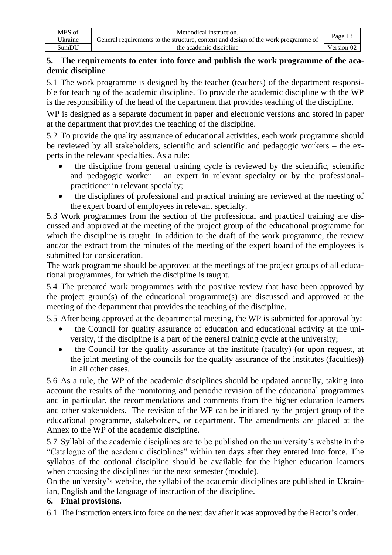| MES of  | Methodical instruction.                                                            |            |
|---------|------------------------------------------------------------------------------------|------------|
| Ukraine | General requirements to the structure, content and design of the work programme of | Page 13    |
| SumDU   | the academic discipline                                                            | Version 02 |

# **5. The requirements to enter into force and publish the work programme of the academic discipline**

5.1 The work programme is designed by the teacher (teachers) of the department responsible for teaching of the academic discipline. To provide the academic discipline with the WP is the responsibility of the head of the department that provides teaching of the discipline.

WP is designed as a separate document in paper and electronic versions and stored in paper at the department that provides the teaching of the discipline.

5.2 To provide the quality assurance of educational activities, each work programme should be reviewed by all stakeholders, scientific and scientific and pedagogic workers – the experts in the relevant specialties. As a rule:

- the discipline from general training cycle is reviewed by the scientific, scientific and pedagogic worker – an expert in relevant specialty or by the professionalpractitioner in relevant specialty;
- the disciplines of professional and practical training are reviewed at the meeting of the expert board of employees in relevant specialty.

5.3 Work programmes from the section of the professional and practical training are discussed and approved at the meeting of the project group of the educational programme for which the discipline is taught. In addition to the draft of the work programme, the review and/or the extract from the minutes of the meeting of the expert board of the employees is submitted for consideration.

The work programme should be approved at the meetings of the project groups of all educational programmes, for which the discipline is taught.

5.4 The prepared work programmes with the positive review that have been approved by the project group(s) of the educational programme(s) are discussed and approved at the meeting of the department that provides the teaching of the discipline.

5.5 After being approved at the departmental meeting, the WP is submitted for approval by:

- the Council for quality assurance of education and educational activity at the university, if the discipline is a part of the general training cycle at the university;
- the Council for the quality assurance at the institute (faculty) (or upon request, at the joint meeting of the councils for the quality assurance of the institutes (faculties)) in all other cases.

5.6 As a rule, the WP of the academic disciplines should be updated annually, taking into account the results of the monitoring and periodic revision of the educational programmes and in particular, the recommendations and comments from the higher education learners and other stakeholders. The revision of the WP can be initiated by the project group of the educational programme, stakeholders, or department. The amendments are placed at the Annex to the WP of the academic discipline.

5.7 Syllabi of the academic disciplines are to be published on the university's website in the "Catalogue of the academic disciplines" within ten days after they entered into force. The syllabus of the optional discipline should be available for the higher education learners when choosing the disciplines for the next semester (module).

On the university's website, the syllabi of the academic disciplines are published in Ukrainian, English and the language of instruction of the discipline.

# **6. Final provisions.**

6.1 The Instruction enters into force on the next day after it was approved by the Rector's order.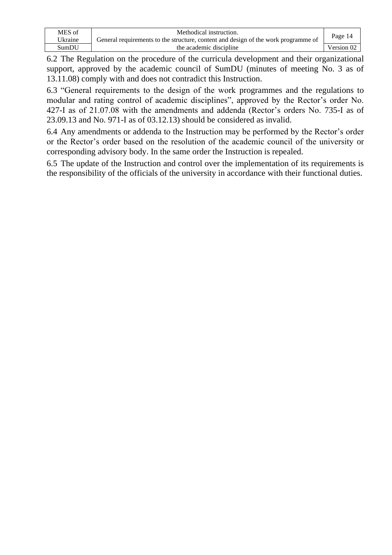| MES of   | Methodical instruction.                                                            | Page 14    |
|----------|------------------------------------------------------------------------------------|------------|
| 'Jkraine | General requirements to the structure, content and design of the work programme of |            |
| SumDU    | the academic discipline                                                            | Version 02 |

6.2 The Regulation on the procedure of the curricula development and their organizational support, approved by the academic council of SumDU (minutes of meeting No. 3 as of 13.11.08) comply with and does not contradict this Instruction.

6.3 "General requirements to the design of the work programmes and the regulations to modular and rating control of academic disciplines", approved by the Rector's order No. 427-I as of 21.07.08 with the amendments and addenda (Rector's orders No. 735-І as of 23.09.13 and No. 971-І as of 03.12.13) should be considered as invalid.

6.4 Any amendments or addenda to the Instruction may be performed by the Rector's order or the Rector's order based on the resolution of the academic council of the university or corresponding advisory body. In the same order the Instruction is repealed.

6.5 The update of the Instruction and control over the implementation of its requirements is the responsibility of the officials of the university in accordance with their functional duties.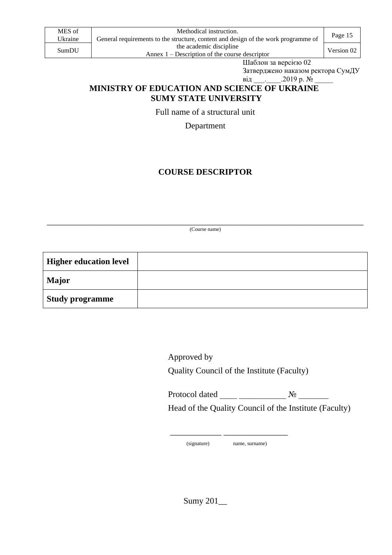| MES of  | Methodical instruction.                                                            |            |
|---------|------------------------------------------------------------------------------------|------------|
| Ukraine | General requirements to the structure, content and design of the work programme of | Page 15    |
| SumDU   | the academic discipline                                                            | Version 02 |
|         | Annex $1$ – Description of the course descriptor                                   |            |

Шаблон за версією 02

Затверджено наказом ректора СумДУ від \_\_\_\_\_\_.2019 р. №

# **MINISTRY OF EDUCATION AND SCIENCE OF UKRAINE SUMY STATE UNIVERSITY**

Full name of a structural unit

Department

# **COURSE DESCRIPTOR**

\_\_\_\_\_\_\_\_\_\_\_\_\_\_\_\_\_\_\_\_\_\_\_\_\_\_\_\_\_\_\_\_\_\_\_\_\_\_\_\_\_\_\_\_\_\_\_\_\_\_\_\_\_\_\_\_\_\_\_\_\_\_\_\_\_\_\_\_\_\_\_\_\_\_ (Course name)

| <b>Higher education level</b> |  |
|-------------------------------|--|
| <b>Major</b>                  |  |
| Study programme               |  |

Approved by Quality Council of the Institute (Faculty)

Protocol dated \_\_\_\_ \_\_\_\_\_\_\_\_\_\_\_ № \_\_\_\_\_\_\_ Head of the Quality Council of the Institute (Faculty)

(signature) name, surname)

\_\_\_\_\_\_\_\_\_\_\_\_ \_\_\_\_\_\_\_\_\_\_\_\_\_\_\_

Sumy 201\_\_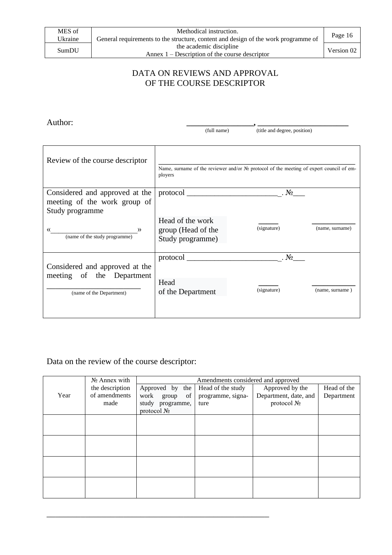#### DATA ON REVIEWS AND APPROVAL OF THE COURSE DESCRIPTOR

Author: **\_\_\_\_\_\_\_\_\_\_\_\_\_\_\_\_\_, \_\_\_\_\_\_\_\_\_\_\_\_\_\_\_\_\_\_\_\_\_\_\_** 

(full name) (title and degree, position)

| Review of the course descriptor                                                   | Name, surname of the reviewer and/or $N_{\mathcal{Q}}$ protocol of the meeting of expert council of em-<br>ployers |             |                 |
|-----------------------------------------------------------------------------------|--------------------------------------------------------------------------------------------------------------------|-------------|-----------------|
| Considered and approved at the<br>meeting of the work group of<br>Study programme |                                                                                                                    | . No        |                 |
| «<br>$\rightarrow$<br>(name of the study programme)                               | Head of the work<br>group (Head of the<br>Study programme)                                                         | (signature) | (name, surname) |
| Considered and approved at the<br>meeting of the Department                       | protocol                                                                                                           | . No        |                 |
| (name of the Department)                                                          | Head<br>of the Department                                                                                          | (signature) | (name, surname) |
|                                                                                   |                                                                                                                    |             |                 |

# Data on the review of the course descriptor:

|      | $N2$ Annex with | Amendments considered and approved |                   |                       |             |
|------|-----------------|------------------------------------|-------------------|-----------------------|-------------|
|      | the description | Approved by the                    | Head of the study | Approved by the       | Head of the |
| Year | of amendments   | work<br>of<br>group                | programme, signa- | Department, date, and | Department  |
|      | made            | study programme,                   | ture              | protocol No           |             |
|      |                 | protocol No                        |                   |                       |             |
|      |                 |                                    |                   |                       |             |
|      |                 |                                    |                   |                       |             |
|      |                 |                                    |                   |                       |             |
|      |                 |                                    |                   |                       |             |
|      |                 |                                    |                   |                       |             |
|      |                 |                                    |                   |                       |             |
|      |                 |                                    |                   |                       |             |
|      |                 |                                    |                   |                       |             |
|      |                 |                                    |                   |                       |             |
|      |                 |                                    |                   |                       |             |

\_\_\_\_\_\_\_\_\_\_\_\_\_\_\_\_\_\_\_\_\_\_\_\_\_\_\_\_\_\_\_\_\_\_\_\_\_\_\_\_\_\_\_\_\_\_\_\_\_\_\_\_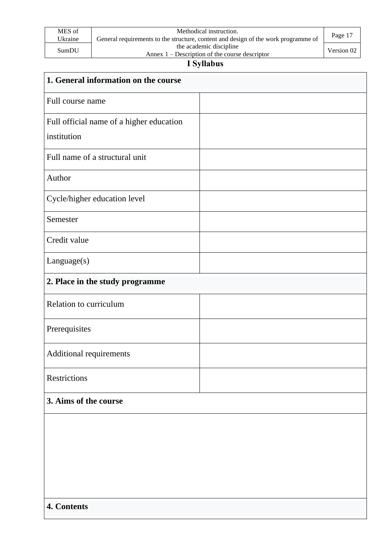| MES of  | Methodical instruction.                                                            | Page 17    |  |
|---------|------------------------------------------------------------------------------------|------------|--|
| Ukraine | General requirements to the structure, content and design of the work programme of |            |  |
| SumDU   | the academic discipline                                                            |            |  |
|         | Annex $1$ – Description of the course descriptor                                   | Version 02 |  |

# **І Syllabus**

| 1. General information on the course     |  |
|------------------------------------------|--|
| Full course name                         |  |
| Full official name of a higher education |  |
| institution                              |  |
| Full name of a structural unit           |  |
| Author                                   |  |
| Cycle/higher education level             |  |
| Semester                                 |  |
| Credit value                             |  |
| Language(s)                              |  |
| 2. Place in the study programme          |  |
| Relation to curriculum                   |  |
| Prerequisites                            |  |
| Additional requirements                  |  |
| Restrictions                             |  |
| 3. Aims of the course                    |  |
|                                          |  |
|                                          |  |
|                                          |  |
|                                          |  |
|                                          |  |
| 4. Contents                              |  |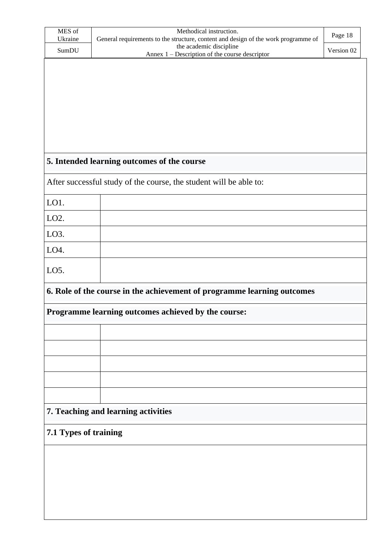| MES of<br>Ukraine                                                       | Methodical instruction.<br>General requirements to the structure, content and design of the work programme of | Page 18    |  |
|-------------------------------------------------------------------------|---------------------------------------------------------------------------------------------------------------|------------|--|
| SumDU                                                                   | the academic discipline<br>Annex 1 – Description of the course descriptor                                     | Version 02 |  |
|                                                                         |                                                                                                               |            |  |
|                                                                         |                                                                                                               |            |  |
|                                                                         |                                                                                                               |            |  |
|                                                                         |                                                                                                               |            |  |
|                                                                         |                                                                                                               |            |  |
|                                                                         |                                                                                                               |            |  |
|                                                                         | 5. Intended learning outcomes of the course                                                                   |            |  |
|                                                                         | After successful study of the course, the student will be able to:                                            |            |  |
| LO1.                                                                    |                                                                                                               |            |  |
| LO <sub>2</sub> .                                                       |                                                                                                               |            |  |
| LO <sub>3</sub> .                                                       |                                                                                                               |            |  |
| LO4.                                                                    |                                                                                                               |            |  |
| LO5.                                                                    |                                                                                                               |            |  |
|                                                                         |                                                                                                               |            |  |
| 6. Role of the course in the achievement of programme learning outcomes |                                                                                                               |            |  |
|                                                                         | Programme learning outcomes achieved by the course:                                                           |            |  |
|                                                                         |                                                                                                               |            |  |
|                                                                         |                                                                                                               |            |  |
|                                                                         |                                                                                                               |            |  |
|                                                                         |                                                                                                               |            |  |
|                                                                         |                                                                                                               |            |  |
|                                                                         | 7. Teaching and learning activities                                                                           |            |  |
| 7.1 Types of training                                                   |                                                                                                               |            |  |
|                                                                         |                                                                                                               |            |  |
|                                                                         |                                                                                                               |            |  |
|                                                                         |                                                                                                               |            |  |
|                                                                         |                                                                                                               |            |  |
|                                                                         |                                                                                                               |            |  |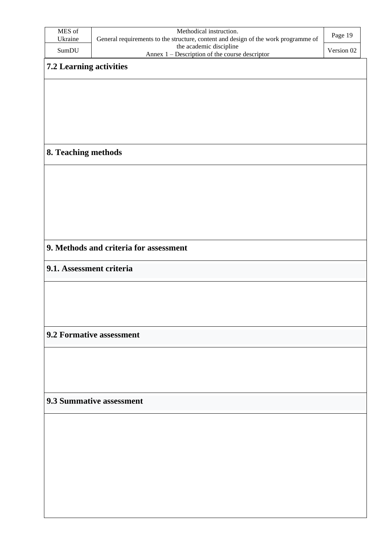| MES of<br>Ukraine        | Methodical instruction.<br>General requirements to the structure, content and design of the work programme of | Page 19    |
|--------------------------|---------------------------------------------------------------------------------------------------------------|------------|
| SumDU                    | the academic discipline                                                                                       | Version 02 |
| 7.2 Learning activities  | Annex 1 – Description of the course descriptor                                                                |            |
|                          |                                                                                                               |            |
|                          |                                                                                                               |            |
|                          |                                                                                                               |            |
|                          |                                                                                                               |            |
|                          |                                                                                                               |            |
|                          |                                                                                                               |            |
| 8. Teaching methods      |                                                                                                               |            |
|                          |                                                                                                               |            |
|                          |                                                                                                               |            |
|                          |                                                                                                               |            |
|                          |                                                                                                               |            |
|                          |                                                                                                               |            |
|                          |                                                                                                               |            |
|                          | 9. Methods and criteria for assessment                                                                        |            |
|                          |                                                                                                               |            |
| 9.1. Assessment criteria |                                                                                                               |            |
|                          |                                                                                                               |            |
|                          |                                                                                                               |            |
|                          |                                                                                                               |            |
|                          |                                                                                                               |            |
|                          | 9.2 Formative assessment                                                                                      |            |
|                          |                                                                                                               |            |
|                          |                                                                                                               |            |
|                          |                                                                                                               |            |
|                          |                                                                                                               |            |
|                          | 9.3 Summative assessment                                                                                      |            |
|                          |                                                                                                               |            |
|                          |                                                                                                               |            |
|                          |                                                                                                               |            |
|                          |                                                                                                               |            |
|                          |                                                                                                               |            |
|                          |                                                                                                               |            |
|                          |                                                                                                               |            |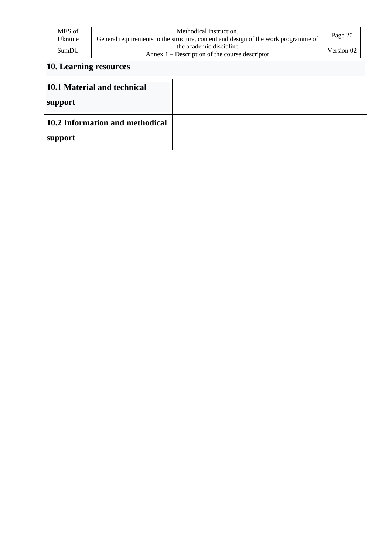| MES of<br>Ukraine<br>SumDU | Methodical instruction.<br>General requirements to the structure, content and design of the work programme of<br>the academic discipline<br>Annex $1$ – Description of the course descriptor | Page 20<br>Version 02 |  |  |
|----------------------------|----------------------------------------------------------------------------------------------------------------------------------------------------------------------------------------------|-----------------------|--|--|
|                            | 10. Learning resources                                                                                                                                                                       |                       |  |  |
| support                    | 10.1 Material and technical                                                                                                                                                                  |                       |  |  |
| support                    | 10.2 Information and methodical                                                                                                                                                              |                       |  |  |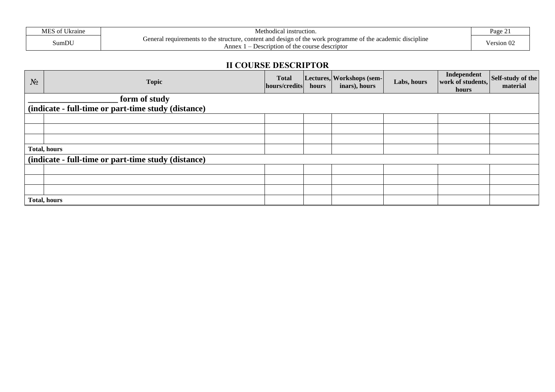| MES<br>$C$ T T1<br>Ukraine | vlethodical<br>' instruction.                                                                                                                        | Page $\angle$     |
|----------------------------|------------------------------------------------------------------------------------------------------------------------------------------------------|-------------------|
| SumDU                      | $\cdot$ $\cdot$<br>of the work<br>content and design<br>of the academic<br>l requirements to the structure.<br>discipline<br>renera<br>k programme d |                   |
|                            | Anne:<br>Pescription of<br>the<br>e course descriptor                                                                                                | $\vee$ ersion (Jz |

#### **ІІ COURSE DESCRIPTOR**

| $N_2$               | <b>Topic</b>                                        | <b>Total</b><br>hours/credits | hours | Lectures, Workshops (sem-<br>inars), hours | Labs, hours | Independent<br>work of students,<br>hours | Self-study of the<br>material |
|---------------------|-----------------------------------------------------|-------------------------------|-------|--------------------------------------------|-------------|-------------------------------------------|-------------------------------|
|                     | form of study                                       |                               |       |                                            |             |                                           |                               |
|                     | (indicate - full-time or part-time study (distance) |                               |       |                                            |             |                                           |                               |
|                     |                                                     |                               |       |                                            |             |                                           |                               |
|                     |                                                     |                               |       |                                            |             |                                           |                               |
|                     |                                                     |                               |       |                                            |             |                                           |                               |
| <b>Total, hours</b> |                                                     |                               |       |                                            |             |                                           |                               |
|                     | (indicate - full-time or part-time study (distance) |                               |       |                                            |             |                                           |                               |
|                     |                                                     |                               |       |                                            |             |                                           |                               |
|                     |                                                     |                               |       |                                            |             |                                           |                               |
|                     |                                                     |                               |       |                                            |             |                                           |                               |
| <b>Total, hours</b> |                                                     |                               |       |                                            |             |                                           |                               |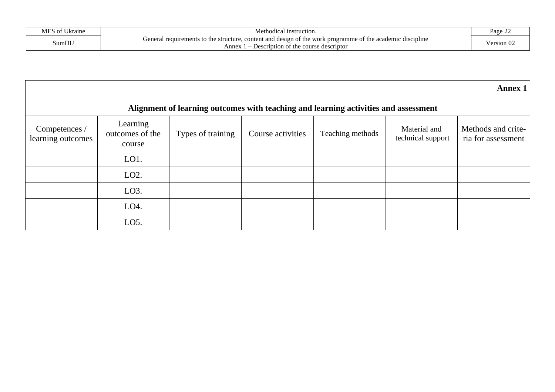| $C$ T T1<br>ATC<br>Ukraine | Met.<br>hodical instruction.                                                                                                                                                                                           | $\sim$<br>$P_{30}$ $\rho$<br>$\sim$ 440 $\sim$ 440 $\sim$ |
|----------------------------|------------------------------------------------------------------------------------------------------------------------------------------------------------------------------------------------------------------------|-----------------------------------------------------------|
| SumDU                      | . .<br>discipline<br>content and design of the v<br>: programme<br>work<br>of the academic<br>General<br>equirements<br>structure.<br>to the<br>Annev<br>Jescription<br>course<br>descriptor<br>i ot t<br>. <i>.</i> . | 'ersion U.                                                |

|                                    |                                                                                     |                   |                   |                  |                                   | Annex $1$                                |
|------------------------------------|-------------------------------------------------------------------------------------|-------------------|-------------------|------------------|-----------------------------------|------------------------------------------|
|                                    | Alignment of learning outcomes with teaching and learning activities and assessment |                   |                   |                  |                                   |                                          |
| Competences /<br>learning outcomes | Learning<br>outcomes of the<br>course                                               | Types of training | Course activities | Teaching methods | Material and<br>technical support | Methods and crite-<br>ria for assessment |
|                                    | LO1.                                                                                |                   |                   |                  |                                   |                                          |
|                                    | LO2.                                                                                |                   |                   |                  |                                   |                                          |
|                                    | LO <sub>3</sub> .                                                                   |                   |                   |                  |                                   |                                          |
|                                    | LO <sub>4</sub> .                                                                   |                   |                   |                  |                                   |                                          |
|                                    | LO <sub>5</sub> .                                                                   |                   |                   |                  |                                   |                                          |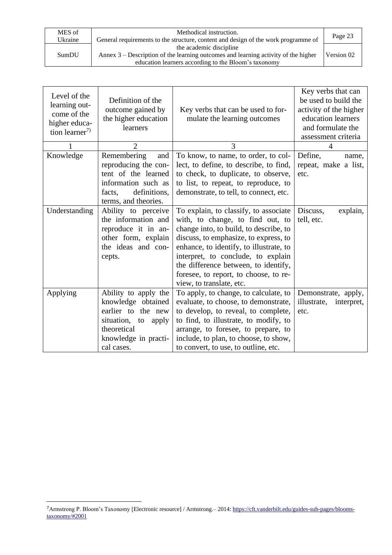| MES of  | Methodical instruction.                                                              |            |
|---------|--------------------------------------------------------------------------------------|------------|
| Ukraine | General requirements to the structure, content and design of the work programme of   | Page 23    |
|         | the academic discipline                                                              |            |
| SumDU   | Annex $3$ – Description of the learning outcomes and learning activity of the higher | Version 02 |
|         | education learners according to the Bloom's taxonomy                                 |            |

| Level of the<br>learning out-<br>come of the<br>higher educa-<br>tion learner <sup>7)</sup> | Definition of the<br>outcome gained by<br>the higher education<br>learners                                                                   | Key verbs that can be used to for-<br>mulate the learning outcomes                                                                                                                                                                                                                                                                                         | Key verbs that can<br>be used to build the<br>activity of the higher<br>education learners<br>and formulate the<br>assessment criteria |
|---------------------------------------------------------------------------------------------|----------------------------------------------------------------------------------------------------------------------------------------------|------------------------------------------------------------------------------------------------------------------------------------------------------------------------------------------------------------------------------------------------------------------------------------------------------------------------------------------------------------|----------------------------------------------------------------------------------------------------------------------------------------|
|                                                                                             | $\overline{2}$                                                                                                                               | 3                                                                                                                                                                                                                                                                                                                                                          | 4                                                                                                                                      |
| Knowledge                                                                                   | Remembering<br>and<br>reproducing the con-<br>tent of the learned<br>information such as<br>definitions,<br>facts,<br>terms, and theories.   | To know, to name, to order, to col-<br>lect, to define, to describe, to find,<br>to check, to duplicate, to observe,<br>to list, to repeat, to reproduce, to<br>demonstrate, to tell, to connect, etc.                                                                                                                                                     | Define,<br>name,<br>repeat, make a list,<br>etc.                                                                                       |
| Understanding                                                                               | Ability to perceive<br>the information and<br>reproduce it in an-<br>other form, explain<br>the ideas and con-<br>cepts.                     | To explain, to classify, to associate<br>with, to change, to find out, to<br>change into, to build, to describe, to<br>discuss, to emphasize, to express, to<br>enhance, to identify, to illustrate, to<br>interpret, to conclude, to explain<br>the difference between, to identify,<br>foresee, to report, to choose, to re-<br>view, to translate, etc. | Discuss,<br>explain,<br>tell, etc.                                                                                                     |
| Applying                                                                                    | Ability to apply the<br>knowledge obtained<br>earlier to the new<br>situation, to apply<br>theoretical<br>knowledge in practi-<br>cal cases. | To apply, to change, to calculate, to<br>evaluate, to choose, to demonstrate,<br>to develop, to reveal, to complete,<br>to find, to illustrate, to modify, to<br>arrange, to foresee, to prepare, to<br>include, to plan, to choose, to show,<br>to convert, to use, to outline, etc.                                                                      | Demonstrate, apply,<br>illustrate,<br>interpret,<br>etc.                                                                               |

<sup>7</sup>Armstrong P. Bloom's Taxonomy [Electronic resource] / Armstrong.– 2014[: https://cft.vanderbilt.edu/guides-sub-pages/blooms](https://cft.vanderbilt.edu/guides-sub-pages/blooms-taxonomy/#2001)[taxonomy/#2001](https://cft.vanderbilt.edu/guides-sub-pages/blooms-taxonomy/#2001)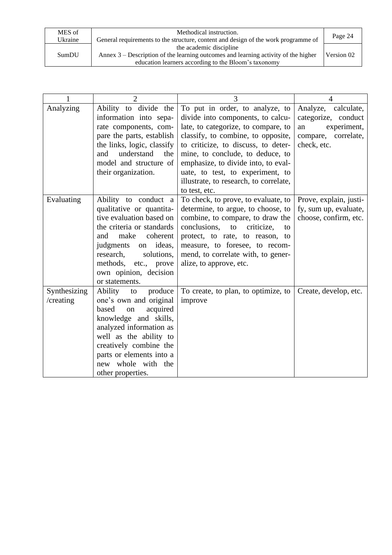| MES of  | Methodical instruction.                                                              | Page 24    |
|---------|--------------------------------------------------------------------------------------|------------|
| Ukraine | General requirements to the structure, content and design of the work programme of   |            |
|         | the academic discipline                                                              |            |
| SumDU   | Annex $3$ – Description of the learning outcomes and learning activity of the higher | Version 02 |
|         | education learners according to the Bloom's taxonomy                                 |            |

|                           | $\overline{2}$                                                                                                                                                                                                                                                  | 3                                                                                                                                                                                                                                                                                                                                                                  | 4                                                                                                     |
|---------------------------|-----------------------------------------------------------------------------------------------------------------------------------------------------------------------------------------------------------------------------------------------------------------|--------------------------------------------------------------------------------------------------------------------------------------------------------------------------------------------------------------------------------------------------------------------------------------------------------------------------------------------------------------------|-------------------------------------------------------------------------------------------------------|
| Analyzing                 | Ability to divide the<br>information into sepa-<br>rate components, com-<br>pare the parts, establish<br>the links, logic, classify<br>understand<br>and<br>the<br>model and structure of<br>their organization.                                                | To put in order, to analyze, to<br>divide into components, to calcu-<br>late, to categorize, to compare, to<br>classify, to combine, to opposite,<br>to criticize, to discuss, to deter-<br>mine, to conclude, to deduce, to<br>emphasize, to divide into, to eval-<br>uate, to test, to experiment, to<br>illustrate, to research, to correlate,<br>to test, etc. | Analyze, calculate,<br>categorize, conduct<br>experiment,<br>an<br>compare, correlate,<br>check, etc. |
| Evaluating                | Ability to conduct a<br>qualitative or quantita-<br>tive evaluation based on<br>the criteria or standards<br>make<br>coherent<br>and<br>ideas,<br>judgments<br>on<br>research,<br>solutions,<br>methods, etc., prove<br>own opinion, decision<br>or statements. | To check, to prove, to evaluate, to<br>determine, to argue, to choose, to<br>combine, to compare, to draw the<br>conclusions,<br>to<br>criticize,<br>to<br>protect, to rate, to reason, to<br>measure, to foresee, to recom-<br>mend, to correlate with, to gener-<br>alize, to approve, etc.                                                                      | Prove, explain, justi-<br>fy, sum up, evaluate,<br>choose, confirm, etc.                              |
| Synthesizing<br>/creating | Ability<br>produce<br>to<br>one's own and original<br>acquired<br>based<br>on<br>knowledge and skills,<br>analyzed information as<br>well as the ability to<br>creatively combine the<br>parts or elements into a<br>new whole with the<br>other properties.    | To create, to plan, to optimize, to<br>improve                                                                                                                                                                                                                                                                                                                     | Create, develop, etc.                                                                                 |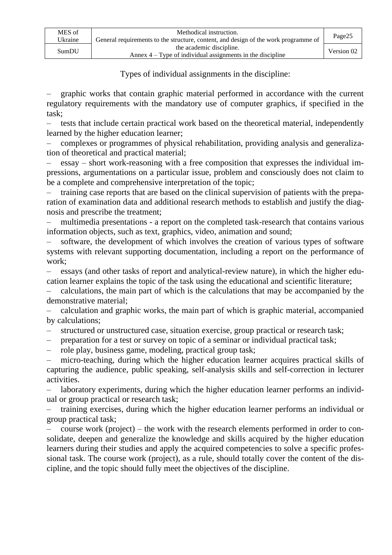| MES of  | Methodical instruction.                                                             |            |  |
|---------|-------------------------------------------------------------------------------------|------------|--|
| Ukraine | General requirements to the structure, content, and design of the work programme of | Page25     |  |
| SumDIJ  | the academic discipline.                                                            | Version 02 |  |
|         | Annex $4 - Type$ of individual assignments in the discipline                        |            |  |

Types of individual assignments in the discipline:

– graphic works that contain graphic material performed in accordance with the current regulatory requirements with the mandatory use of computer graphics, if specified in the task;

– tests that include certain practical work based on the theoretical material, independently learned by the higher education learner;

– complexes or programmes of physical rehabilitation, providing analysis and generalization of theoretical and practical material;

– essay – short work-reasoning with a free composition that expresses the individual impressions, argumentations on a particular issue, problem and consciously does not claim to be a complete and comprehensive interpretation of the topic;

– training case reports that are based on the clinical supervision of patients with the preparation of examination data and additional research methods to establish and justify the diagnosis and prescribe the treatment;

– multimedia presentations - a report on the completed task-research that contains various information objects, such as text, graphics, video, animation and sound;

– software, the development of which involves the creation of various types of software systems with relevant supporting documentation, including a report on the performance of work;

– essays (and other tasks of report and analytical-review nature), in which the higher education learner explains the topic of the task using the educational and scientific literature;

– calculations, the main part of which is the calculations that may be accompanied by the demonstrative material;

– calculation and graphic works, the main part of which is graphic material, accompanied by calculations;

– structured or unstructured case, situation exercise, group practical or research task;

– preparation for a test or survey on topic of a seminar or individual practical task;

– role play, business game, modeling, practical group task;

– micro-teaching, during which the higher education learner acquires practical skills of capturing the audience, public speaking, self-analysis skills and self-correction in lecturer activities.

laboratory experiments, during which the higher education learner performs an individual or group practical or research task;

– training exercises, during which the higher education learner performs an individual or group practical task;

– course work (project) – the work with the research elements performed in order to consolidate, deepen and generalize the knowledge and skills acquired by the higher education learners during their studies and apply the acquired competencies to solve a specific professional task. The course work (project), as a rule, should totally cover the content of the discipline, and the topic should fully meet the objectives of the discipline.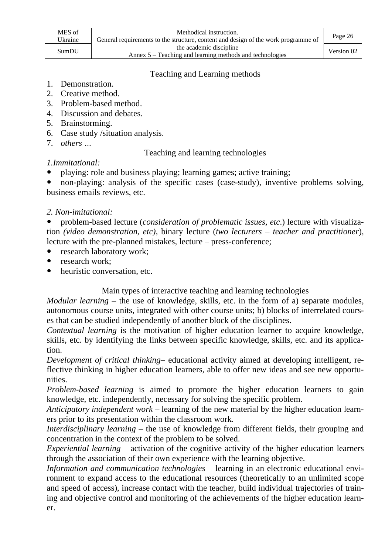| MES of<br>Ukraine | Methodical instruction.<br>General requirements to the structure, content and design of the work programme of | Page 26    |
|-------------------|---------------------------------------------------------------------------------------------------------------|------------|
| SumDU             | the academic discipline<br>Annex 5 – Teaching and learning methods and technologies                           | Version 02 |

## Teaching and Learning methods

- 1. Demonstration.
- 2. Creative method.
- 3. Problem-based method.
- 4. Discussion and debates.
- 5. Brainstorming.
- 6. Case study /situation analysis.
- 7. *others …*

#### Teaching and learning technologies

#### *1.Immitational:*

playing: role and business playing; learning games; active training;

• non-playing: analysis of the specific cases (case-study), inventive problems solving, business emails reviews, etc.

# *2. Non-imitational:*

 problem-based lecture (*consideration of problematic issues, etc*.) lecture with visualization *(video demonstration, etc)*, binary lecture (*two lecturers – teacher and practitioner*), lecture with the pre-planned mistakes, lecture – press-conference;

- research laboratory work;
- research work;
- heuristic conversation, etc.

Main types of interactive teaching and learning technologies

*Modular learning* – the use of knowledge, skills, etc. in the form of a) separate modules, autonomous course units, integrated with other course units; b) blocks of interrelated courses that can be studied independently of another block of the disciplines.

*Contextual learning* is the motivation of higher education learner to acquire knowledge, skills, etc. by identifying the links between specific knowledge, skills, etc. and its application.

*Development of critical thinking*– educational activity aimed at developing intelligent, reflective thinking in higher education learners, able to offer new ideas and see new opportunities.

*Problem-based learning* is aimed to promote the higher education learners to gain knowledge, etc. independently, necessary for solving the specific problem.

*Anticipatory independent work* – learning of the new material by the higher education learners prior to its presentation within the classroom work.

*Interdisciplinary learning* – the use of knowledge from different fields, their grouping and concentration in the context of the problem to be solved.

*Experiential learning* – activation of the cognitive activity of the higher education learners through the association of their own experience with the learning objective.

*Information and communication technologies –* learning in an electronic educational environment to expand access to the educational resources (theoretically to an unlimited scope and speed of access), increase contact with the teacher, build individual trajectories of training and objective control and monitoring of the achievements of the higher education learner.